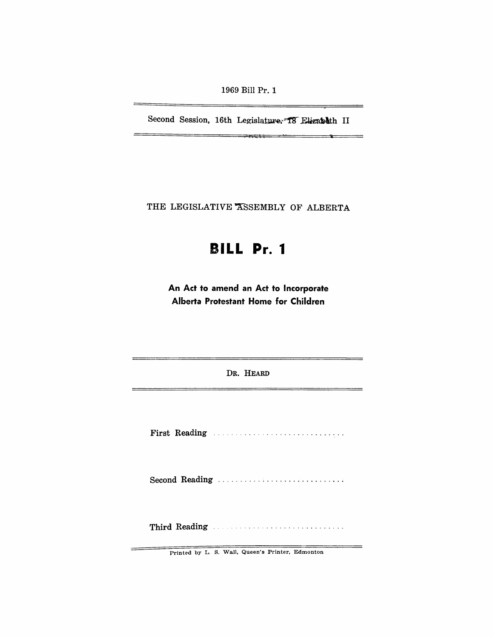1969 Bill Pr. 1

Second Session, 16th Legislature. T8 Elizabeth II

 $-111 - 11$ 

 $\rightarrow$ 

—

-

 $=$ 

THE LEGISLATIVE ASSEMBLY OF ALBERTA

# **BILL Pr. 1**

**An Act to amend an Act to Incorporate Alberta Protestant Home for Children** 

DR. HEARD

First Reading ............................. .

Second Reading ..................................

Third Reading ...................................

Printed by L. S. Wall, Queen's Printer, Edmonton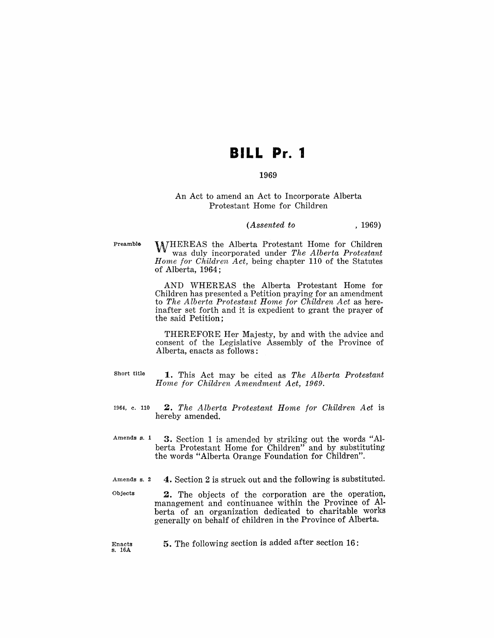## **BILL Pr. 1**

### 1969

### An Act to amend an Act to Incorporate Alberta Protestant Home for Children

#### *(Assented to* , 1969)

Preamble

WHEREAS the Alberta Protestant Home for Children was duly incorporated under *The Alberta Protestant Home for Children Act,* being chapter 110 of the Statutes of Alberta, 1964;

AND WHEREAS the Alberta Protestant Home for Children has presented a Petition praying for an amendment to *The Alberta Protestant Home for Children Act* as hereinafter set forth and it is expedient to grant the prayer of the said Petition;

THEREFORE Her Majesty, by and with the advice and consent of the Legislative Assembly of the Province of Alberta, enacts as follows:

- Short title
- 1. This Act may be cited as *The Alberta Protestant Home for Children Amendment Act, 1969.*
- 1964, c. ·110 *2. The Alberta Protestant Home for Children Act* is hereby amended.
- Amends s. 1 ,3. Section 1 is amended by striking out the words "Alberta Protestant Home for Children" and by substituting the words "Alberta Orange Foundation for Children".
- Amends s. 2 4. Section 2 is struck out and the following is substituted.
- Objects 2. The objects of the corporation are the operation, management and continuance within the Province of Alberta of an organization dedicated to charitable works generally on behalf of children in the Province of Alberta.
	- 5. The following section is added after section 16:

Enacts s. 16A